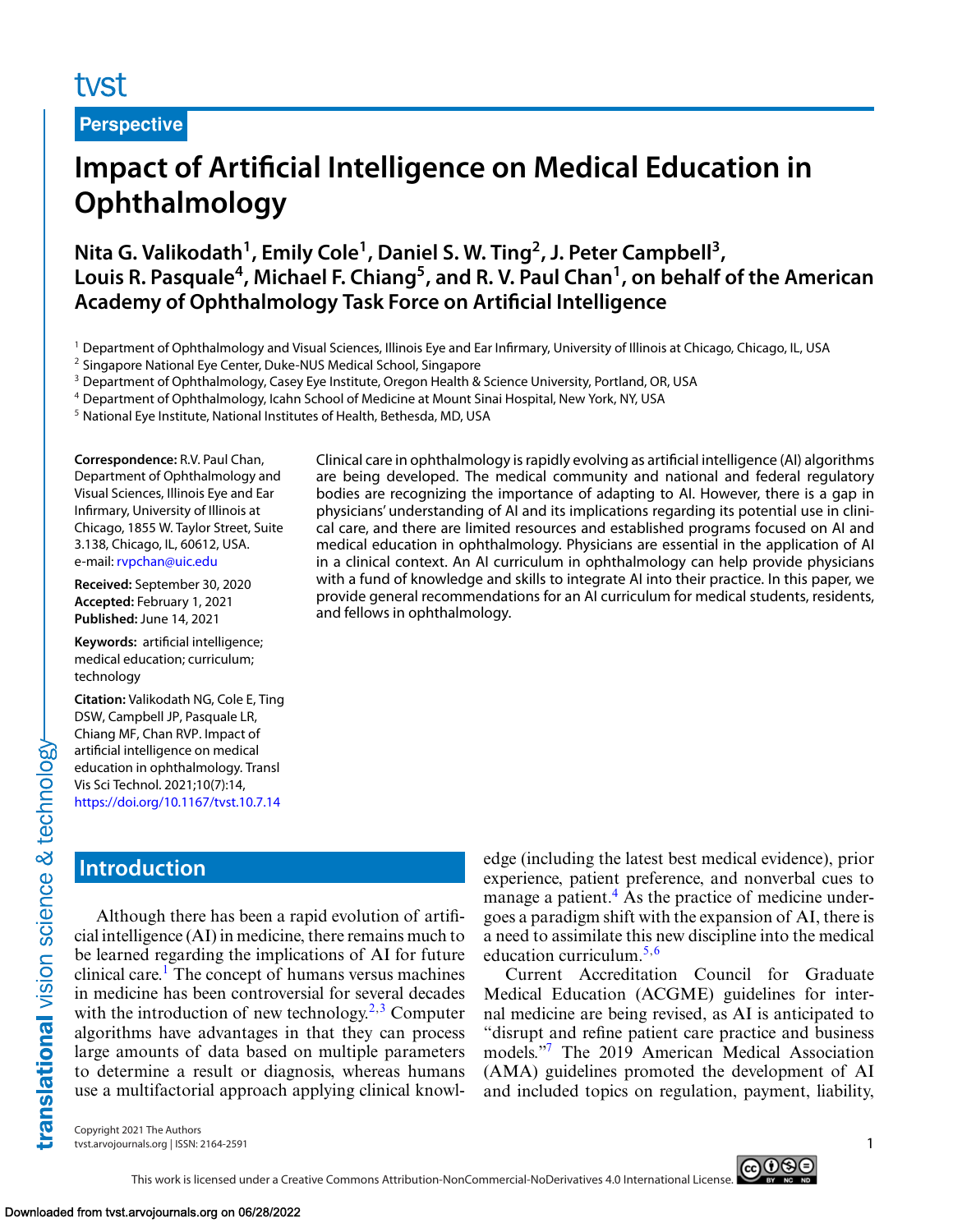# tyst

**Perspective**

# **Impact of Artificial Intelligence on Medical Education in Ophthalmology**

**Nita G. Valikodath1, Emily Cole1, Daniel S. W. Ting2, J. Peter Campbell3,** Louis R. Pasquale<sup>4</sup>, Michael F. Chiang<sup>5</sup>, and R. V. Paul Chan<sup>1</sup>, on behalf of the American **Academy of Ophthalmology Task Force on Artificial Intelligence**

<sup>1</sup> Department of Ophthalmology and Visual Sciences, Illinois Eye and Ear Infirmary, University of Illinois at Chicago, Chicago, IL, USA

<sup>2</sup> Singapore National Eye Center, Duke-NUS Medical School, Singapore

<sup>3</sup> Department of Ophthalmology, Casey Eye Institute, Oregon Health & Science University, Portland, OR, USA

<sup>4</sup> Department of Ophthalmology, Icahn School of Medicine at Mount Sinai Hospital, New York, NY, USA

<sup>5</sup> National Eye Institute, National Institutes of Health, Bethesda, MD, USA

**Correspondence:** R.V. Paul Chan, Department of Ophthalmology and Visual Sciences, Illinois Eye and Ear Infirmary, University of Illinois at Chicago, 1855 W. Taylor Street, Suite 3.138, Chicago, IL, 60612, USA. e-mail: [rvpchan@uic.edu](mailto:rvpchan@uic.edu)

**Received:** September 30, 2020 **Accepted:** February 1, 2021 **Published:** June 14, 2021

**Keywords:** artificial intelligence; medical education; curriculum; technology

**Citation:** Valikodath NG, Cole E, Ting DSW, Campbell JP, Pasquale LR, Chiang MF, Chan RVP. Impact of artificial intelligence on medical education in ophthalmology. Transl Vis Sci Technol. 2021;10(7):14, <https://doi.org/10.1167/tvst.10.7.14>

Clinical care in ophthalmology is rapidly evolving as artificial intelligence (AI) algorithms are being developed. The medical community and national and federal regulatory bodies are recognizing the importance of adapting to AI. However, there is a gap in physicians' understanding of AI and its implications regarding its potential use in clinical care, and there are limited resources and established programs focused on AI and medical education in ophthalmology. Physicians are essential in the application of AI in a clinical context. An AI curriculum in ophthalmology can help provide physicians with a fund of knowledge and skills to integrate AI into their practice. In this paper, we provide general recommendations for an AI curriculum for medical students, residents, and fellows in ophthalmology.

## **Introduction**

translational vision science & technology-

Although there has been a rapid evolution of artificial intelligence (AI) in medicine, there remains much to be learned regarding the implications of AI for future clinical care.<sup>[1](#page-7-0)</sup> The concept of humans versus machines in medicine has been controversial for several decades with the introduction of new technology.<sup>[2,3](#page-7-0)</sup> Computer algorithms have advantages in that they can process large amounts of data based on multiple parameters to determine a result or diagnosis, whereas humans use a multifactorial approach applying clinical knowledge (including the latest best medical evidence), prior experience, patient preference, and nonverbal cues to manage a patient.<sup>[4](#page-7-0)</sup> As the practice of medicine undergoes a paradigm shift with the expansion of AI, there is a need to assimilate this new discipline into the medical education curriculum.[5,6](#page-7-0)

Current Accreditation Council for Graduate Medical Education (ACGME) guidelines for internal medicine are being revised, as AI is anticipated to "disrupt and refine patient care practice and business models.["7](#page-7-0) The 2019 American Medical Association (AMA) guidelines promoted the development of AI and included topics on regulation, payment, liability,

Copyright 2021 The Authors tvst.arvojournals.org | ISSN: 2164-2591 1



This work is licensed under a Creative Commons Attribution-NonCommercial-NoDerivatives 4.0 International License.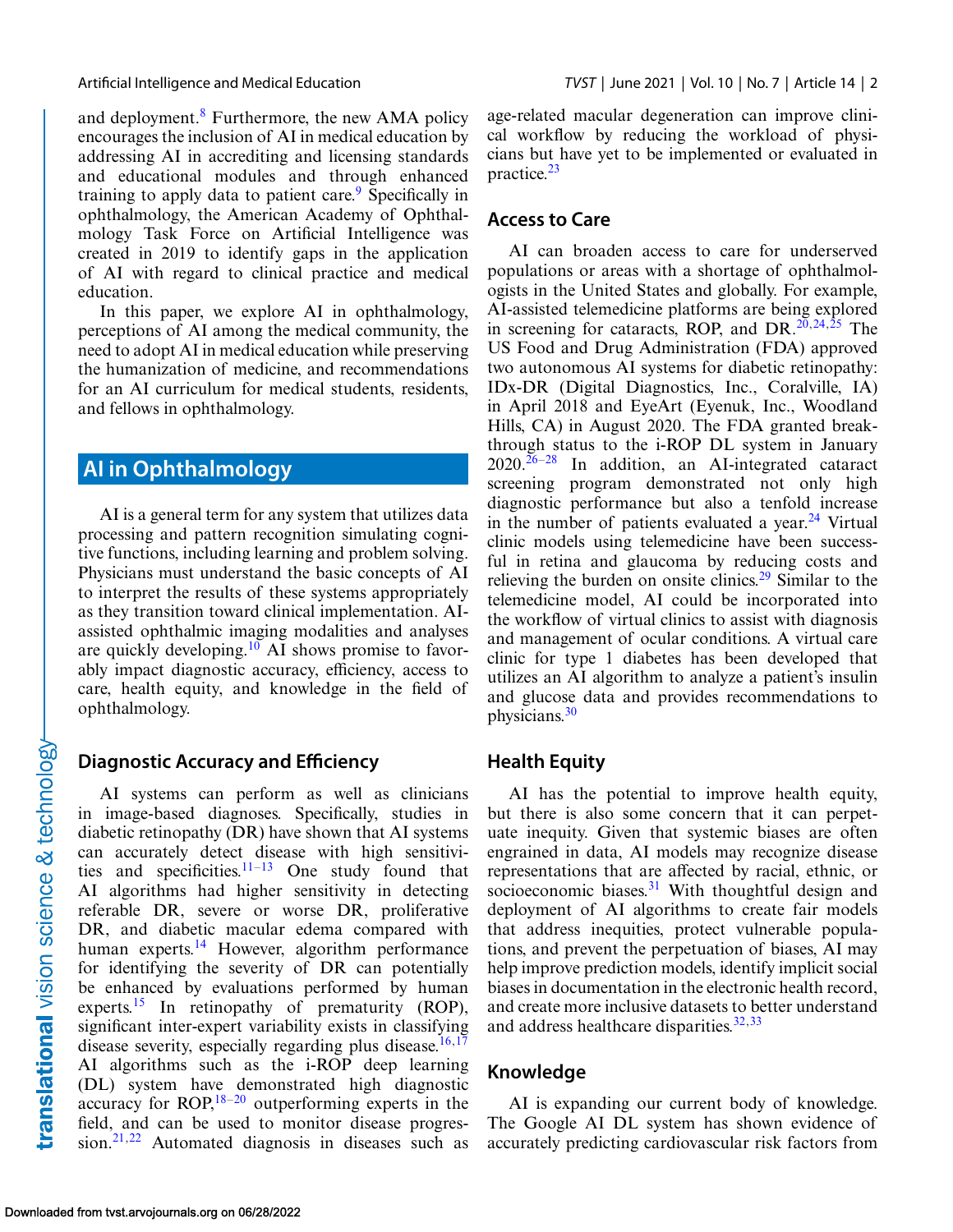and deployment. $8$  Furthermore, the new AMA policy encourages the inclusion of AI in medical education by addressing AI in accrediting and licensing standards and educational modules and through enhanced training to apply data to patient care.<sup>9</sup> Specifically in ophthalmology, the American Academy of Ophthalmology Task Force on Artificial Intelligence was created in 2019 to identify gaps in the application of AI with regard to clinical practice and medical education.

In this paper, we explore AI in ophthalmology, perceptions of AI among the medical community, the need to adopt AI in medical education while preserving the humanization of medicine, and recommendations for an AI curriculum for medical students, residents, and fellows in ophthalmology.

## **AI in Ophthalmology**

AI is a general term for any system that utilizes data processing and pattern recognition simulating cognitive functions, including learning and problem solving. Physicians must understand the basic concepts of AI to interpret the results of these systems appropriately as they transition toward clinical implementation. AIassisted ophthalmic imaging modalities and analyses are quickly developing.[10](#page-7-0) AI shows promise to favorably impact diagnostic accuracy, efficiency, access to care, health equity, and knowledge in the field of ophthalmology.

### **Diagnostic Accuracy and Efficiency**

AI systems can perform as well as clinicians in image-based diagnoses. Specifically, studies in diabetic retinopathy (DR) have shown that AI systems can accurately detect disease with high sensitivities and specificities. $11-13$  One study found that AI algorithms had higher sensitivity in detecting referable DR, severe or worse DR, proliferative DR, and diabetic macular edema compared with human experts. $^{14}$  $^{14}$  $^{14}$  However, algorithm performance for identifying the severity of DR can potentially be enhanced by evaluations performed by human experts.<sup>15</sup> In retinopathy of prematurity (ROP), significant inter-expert variability exists in classifying disease severity, especially regarding plus disease.<sup>16,17</sup> AI algorithms such as the i-ROP deep learning (DL) system have demonstrated high diagnostic accuracy for ROP, $18-20$  outperforming experts in the field, and can be used to monitor disease progression.<sup>21,22</sup> Automated diagnosis in diseases such as age-related macular degeneration can improve clinical workflow by reducing the workload of physicians but have yet to be implemented or evaluated in practice.[23](#page-8-0)

### **Access to Care**

AI can broaden access to care for underserved populations or areas with a shortage of ophthalmologists in the United States and globally. For example, AI-assisted telemedicine platforms are being explored in screening for cataracts, ROP, and DR. $20,24,25$  The US Food and Drug Administration (FDA) approved two autonomous AI systems for diabetic retinopathy: IDx-DR (Digital Diagnostics, Inc., Coralville, IA) in April 2018 and EyeArt (Eyenuk, Inc., Woodland Hills, CA) in August 2020. The FDA granted breakthrough status to the i-ROP DL system in January  $2020.\overline{26-28}$  In addition, an AI-integrated cataract screening program demonstrated not only high diagnostic performance but also a tenfold increase in the number of patients evaluated a year. $24$  Virtual clinic models using telemedicine have been successful in retina and glaucoma by reducing costs and relieving the burden on onsite clinics.<sup>[29](#page-8-0)</sup> Similar to the telemedicine model, AI could be incorporated into the workflow of virtual clinics to assist with diagnosis and management of ocular conditions. A virtual care clinic for type 1 diabetes has been developed that utilizes an AI algorithm to analyze a patient's insulin and glucose data and provides recommendations to physicians[.30](#page-8-0)

### **Health Equity**

AI has the potential to improve health equity, but there is also some concern that it can perpetuate inequity. Given that systemic biases are often engrained in data, AI models may recognize disease representations that are affected by racial, ethnic, or socioeconomic biases. $31$  With thoughtful design and deployment of AI algorithms to create fair models that address inequities, protect vulnerable populations, and prevent the perpetuation of biases, AI may help improve prediction models, identify implicit social biases in documentation in the electronic health record, and create more inclusive datasets to better understand and address healthcare disparities. $32,33$ 

### **Knowledge**

AI is expanding our current body of knowledge. The Google AI DL system has shown evidence of accurately predicting cardiovascular risk factors from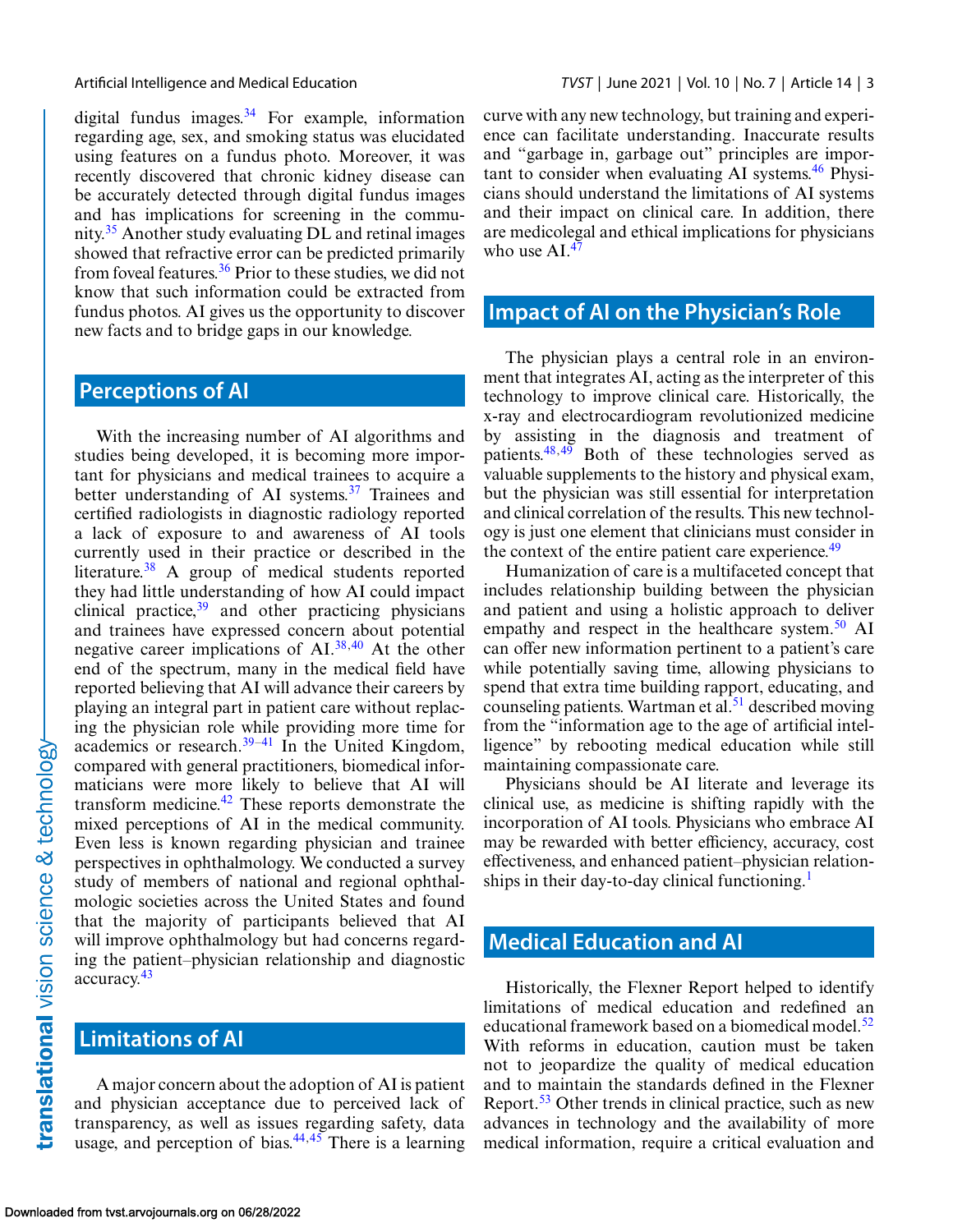digital fundus images. $34$  For example, information regarding age, sex, and smoking status was elucidated using features on a fundus photo. Moreover, it was recently discovered that chronic kidney disease can be accurately detected through digital fundus images and has implications for screening in the commu-nity.<sup>[35](#page-8-0)</sup> Another study evaluating  $DL$  and retinal images showed that refractive error can be predicted primarily from foveal features.[36](#page-8-0) Prior to these studies, we did not know that such information could be extracted from fundus photos. AI gives us the opportunity to discover new facts and to bridge gaps in our knowledge.

### **Perceptions of AI**

With the increasing number of AI algorithms and studies being developed, it is becoming more important for physicians and medical trainees to acquire a better understanding of AI systems. $37$  Trainees and certified radiologists in diagnostic radiology reported a lack of exposure to and awareness of AI tools currently used in their practice or described in the literature. $38$  A group of medical students reported they had little understanding of how AI could impact clinical practice,  $39$  and other practicing physicians and trainees have expressed concern about potential negative career implications of AI.[38,](#page-8-0)[40](#page-9-0) At the other end of the spectrum, many in the medical field have reported believing that AI will advance their careers by playing an integral part in patient care without replacing the physician role while providing more time for academics or research.[39–41](#page-9-0) In the United Kingdom, compared with general practitioners, biomedical informaticians were more likely to believe that AI will transform medicine. $42$  These reports demonstrate the mixed perceptions of AI in the medical community. Even less is known regarding physician and trainee perspectives in ophthalmology. We conducted a survey study of members of national and regional ophthalmologic societies across the United States and found that the majority of participants believed that AI will improve ophthalmology but had concerns regarding the patient–physician relationship and diagnostic accuracy.[43](#page-9-0)

## **Limitations of AI**

A major concern about the adoption of AI is patient and physician acceptance due to perceived lack of transparency, as well as issues regarding safety, data usage, and perception of bias. $44,45$  There is a learning

curve with any new technology, but training and experience can facilitate understanding. Inaccurate results and "garbage in, garbage out" principles are important to consider when evaluating AI systems. $46$  Physicians should understand the limitations of AI systems and their impact on clinical care. In addition, there are medicolegal and ethical implications for physicians who use  $AI^{47}$ 

## **Impact of AI on the Physician's Role**

The physician plays a central role in an environment that integrates AI, acting as the interpreter of this technology to improve clinical care. Historically, the x-ray and electrocardiogram revolutionized medicine by assisting in the diagnosis and treatment of patients.<sup>48,49</sup> Both of these technologies served as valuable supplements to the history and physical exam, but the physician was still essential for interpretation and clinical correlation of the results. This new technology is just one element that clinicians must consider in the context of the entire patient care experience.<sup>49</sup>

Humanization of care is a multifaceted concept that includes relationship building between the physician and patient and using a holistic approach to deliver empathy and respect in the healthcare system.<sup>[50](#page-9-0)</sup> AI can offer new information pertinent to a patient's care while potentially saving time, allowing physicians to spend that extra time building rapport, educating, and counseling patients. Wartman et al. $51$  described moving from the "information age to the age of artificial intelligence" by rebooting medical education while still maintaining compassionate care.

Physicians should be AI literate and leverage its clinical use, as medicine is shifting rapidly with the incorporation of AI tools. Physicians who embrace AI may be rewarded with better efficiency, accuracy, cost effectiveness, and enhanced patient–physician relationships in their day-to-day clinical functioning.<sup>1</sup>

### **Medical Education and AI**

Historically, the Flexner Report helped to identify limitations of medical education and redefined an educational framework based on a biomedical model. $52$ With reforms in education, caution must be taken not to jeopardize the quality of medical education and to maintain the standards defined in the Flexner Report.[53](#page-9-0) Other trends in clinical practice, such as new advances in technology and the availability of more medical information, require a critical evaluation and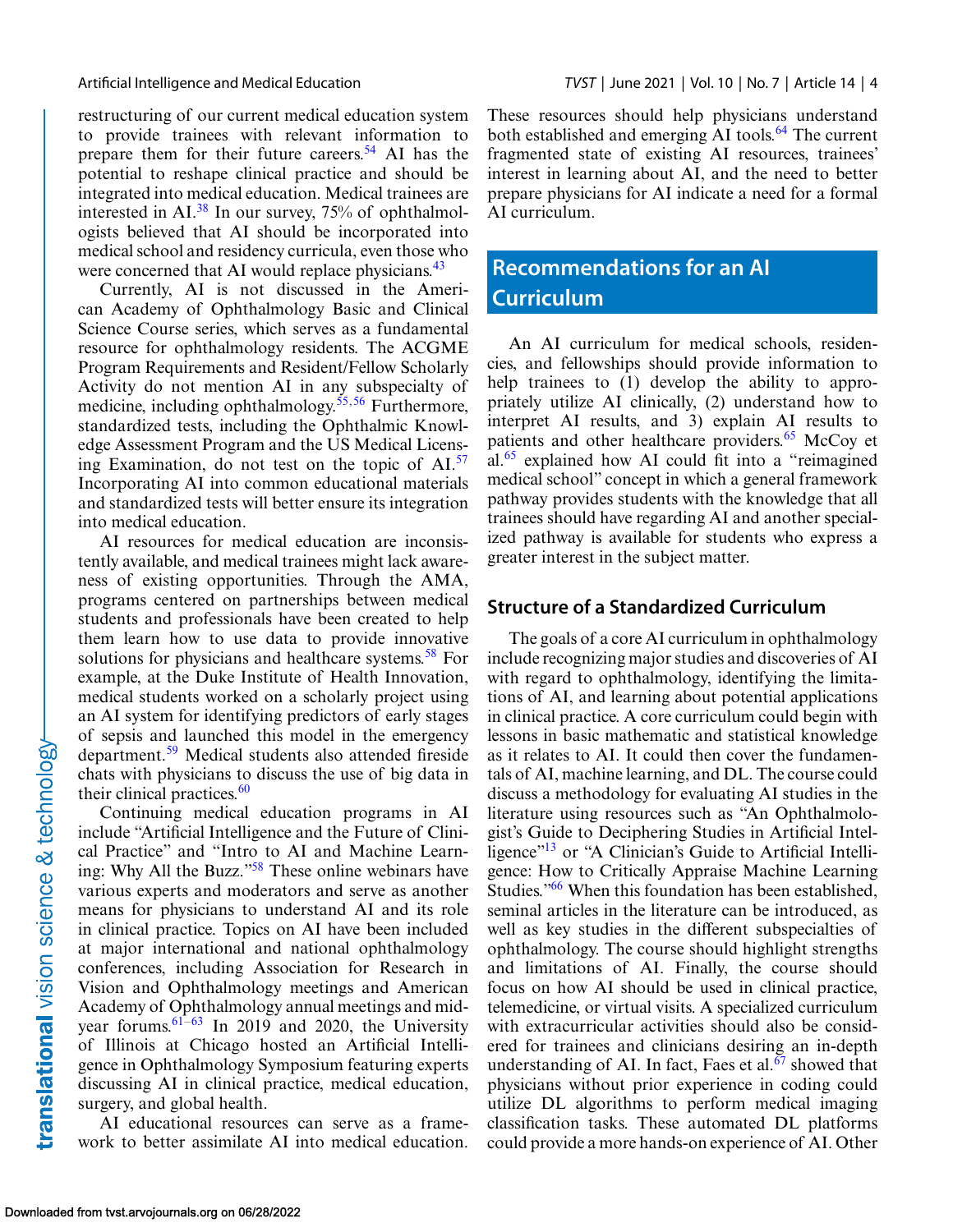restructuring of our current medical education system to provide trainees with relevant information to prepare them for their future careers.<sup>54</sup> AI has the potential to reshape clinical practice and should be integrated into medical education. Medical trainees are interested in AI. $^{38}$  $^{38}$  $^{38}$  In our survey, 75% of ophthalmologists believed that AI should be incorporated into medical school and residency curricula, even those who were concerned that AI would replace physicians.<sup>[43](#page-9-0)</sup>

Currently, AI is not discussed in the American Academy of Ophthalmology Basic and Clinical Science Course series, which serves as a fundamental resource for ophthalmology residents. The ACGME Program Requirements and Resident/Fellow Scholarly Activity do not mention AI in any subspecialty of medicine, including ophthalmology.<sup>55,56</sup> Furthermore, standardized tests, including the Ophthalmic Knowledge Assessment Program and the US Medical Licensing Examination, do not test on the topic of  $AI^{57}$  $AI^{57}$  $AI^{57}$ . Incorporating AI into common educational materials and standardized tests will better ensure its integration into medical education.

AI resources for medical education are inconsistently available, and medical trainees might lack awareness of existing opportunities. Through the AMA, programs centered on partnerships between medical students and professionals have been created to help them learn how to use data to provide innovative solutions for physicians and healthcare systems.<sup>[58](#page-9-0)</sup> For example, at the Duke Institute of Health Innovation, medical students worked on a scholarly project using an AI system for identifying predictors of early stages of sepsis and launched this model in the emergency department.[59](#page-9-0) Medical students also attended fireside chats with physicians to discuss the use of big data in their clinical practices. $60$ 

Continuing medical education programs in AI include "Artificial Intelligence and the Future of Clinical Practice" and "Intro to AI and Machine Learning: Why All the Buzz.["58](#page-9-0) These online webinars have various experts and moderators and serve as another means for physicians to understand AI and its role in clinical practice. Topics on AI have been included at major international and national ophthalmology conferences, including Association for Research in Vision and Ophthalmology meetings and American Academy of Ophthalmology annual meetings and midyear forums.  $61-63$  In 2019 and 2020, the University of Illinois at Chicago hosted an Artificial Intelligence in Ophthalmology Symposium featuring experts discussing AI in clinical practice, medical education, surgery, and global health.

AI educational resources can serve as a framework to better assimilate AI into medical education. These resources should help physicians understand both established and emerging AI tools.<sup>[64](#page-9-0)</sup> The current fragmented state of existing AI resources, trainees' interest in learning about AI, and the need to better prepare physicians for AI indicate a need for a formal AI curriculum.

## **Recommendations for an AI Curriculum**

An AI curriculum for medical schools, residencies, and fellowships should provide information to help trainees to (1) develop the ability to appropriately utilize AI clinically, (2) understand how to interpret AI results, and 3) explain AI results to patients and other healthcare providers.<sup>[65](#page-9-0)</sup> McCoy et al.[65](#page-9-0) explained how AI could fit into a "reimagined medical school" concept in which a general framework pathway provides students with the knowledge that all trainees should have regarding AI and another specialized pathway is available for students who express a greater interest in the subject matter.

### **Structure of a Standardized Curriculum**

The goals of a core AI curriculum in ophthalmology include recognizing major studies and discoveries of AI with regard to ophthalmology, identifying the limitations of AI, and learning about potential applications in clinical practice. A core curriculum could begin with lessons in basic mathematic and statistical knowledge as it relates to AI. It could then cover the fundamentals of AI, machine learning, and DL. The course could discuss a methodology for evaluating AI studies in the literature using resources such as "An Ophthalmologist's Guide to Deciphering Studies in Artificial Intelligence"<sup>13</sup> or "A Clinician's Guide to Artificial Intelligence: How to Critically Appraise Machine Learning Studies."<sup>66</sup> When this foundation has been established, seminal articles in the literature can be introduced, as well as key studies in the different subspecialties of ophthalmology. The course should highlight strengths and limitations of AI. Finally, the course should focus on how AI should be used in clinical practice, telemedicine, or virtual visits. A specialized curriculum with extracurricular activities should also be considered for trainees and clinicians desiring an in-depth understanding of AI. In fact, Faes et al. $67$  showed that physicians without prior experience in coding could utilize DL algorithms to perform medical imaging classification tasks. These automated DL platforms could provide a more hands-on experience of AI. Other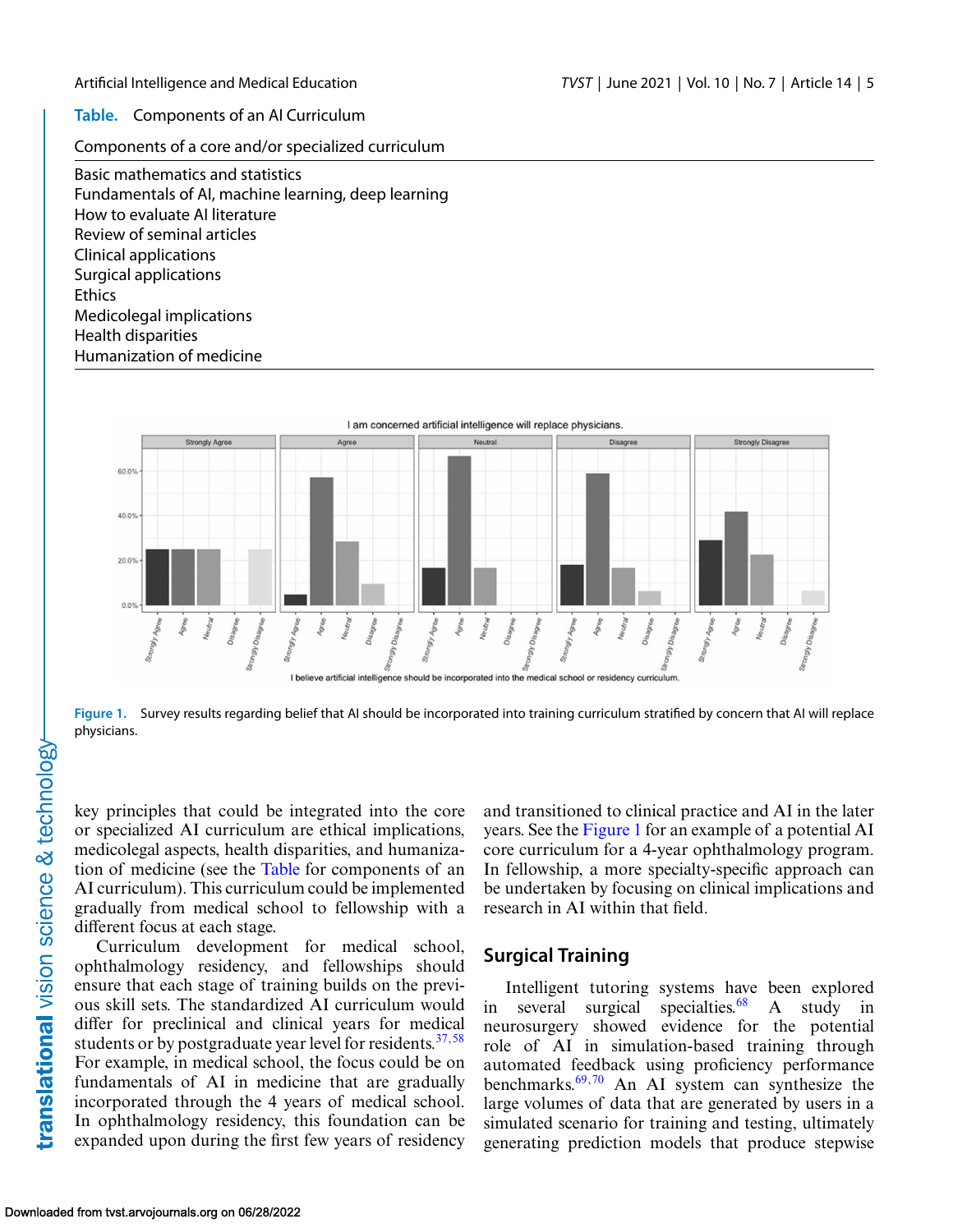**Table.** Components of an AI Curriculum

Components of a core and/or specialized curriculum

Basic mathematics and statistics Fundamentals of AI, machine learning, deep learning How to evaluate AI literature Review of seminal articles Clinical applications Surgical applications **Ethics** Medicolegal implications Health disparities Humanization of medicine



**Figure 1.** Survey results regarding belief that AI should be incorporated into training curriculum stratified by concern that AI will replace physicians.

key principles that could be integrated into the core or specialized AI curriculum are ethical implications, medicolegal aspects, health disparities, and humanization of medicine (see the Table for components of an AI curriculum). This curriculum could be implemented gradually from medical school to fellowship with a different focus at each stage.

Curriculum development for medical school, ophthalmology residency, and fellowships should ensure that each stage of training builds on the previous skill sets. The standardized AI curriculum would differ for preclinical and clinical years for medical students or by postgraduate year level for residents. $37,58$  $37,58$ For example, in medical school, the focus could be on fundamentals of AI in medicine that are gradually incorporated through the 4 years of medical school. In ophthalmology residency, this foundation can be expanded upon during the first few years of residency and transitioned to clinical practice and AI in the later years. See the Figure 1 for an example of a potential AI core curriculum for a 4-year ophthalmology program. In fellowship, a more specialty-specific approach can be undertaken by focusing on clinical implications and research in AI within that field.

### **Surgical Training**

Intelligent tutoring systems have been explored in several surgical specialties.<sup>68</sup> A study in neurosurgery showed evidence for the potential role of AI in simulation-based training through automated feedback using proficiency performance benchmarks[.69,70](#page-10-0) An AI system can synthesize the large volumes of data that are generated by users in a simulated scenario for training and testing, ultimately generating prediction models that produce stepwise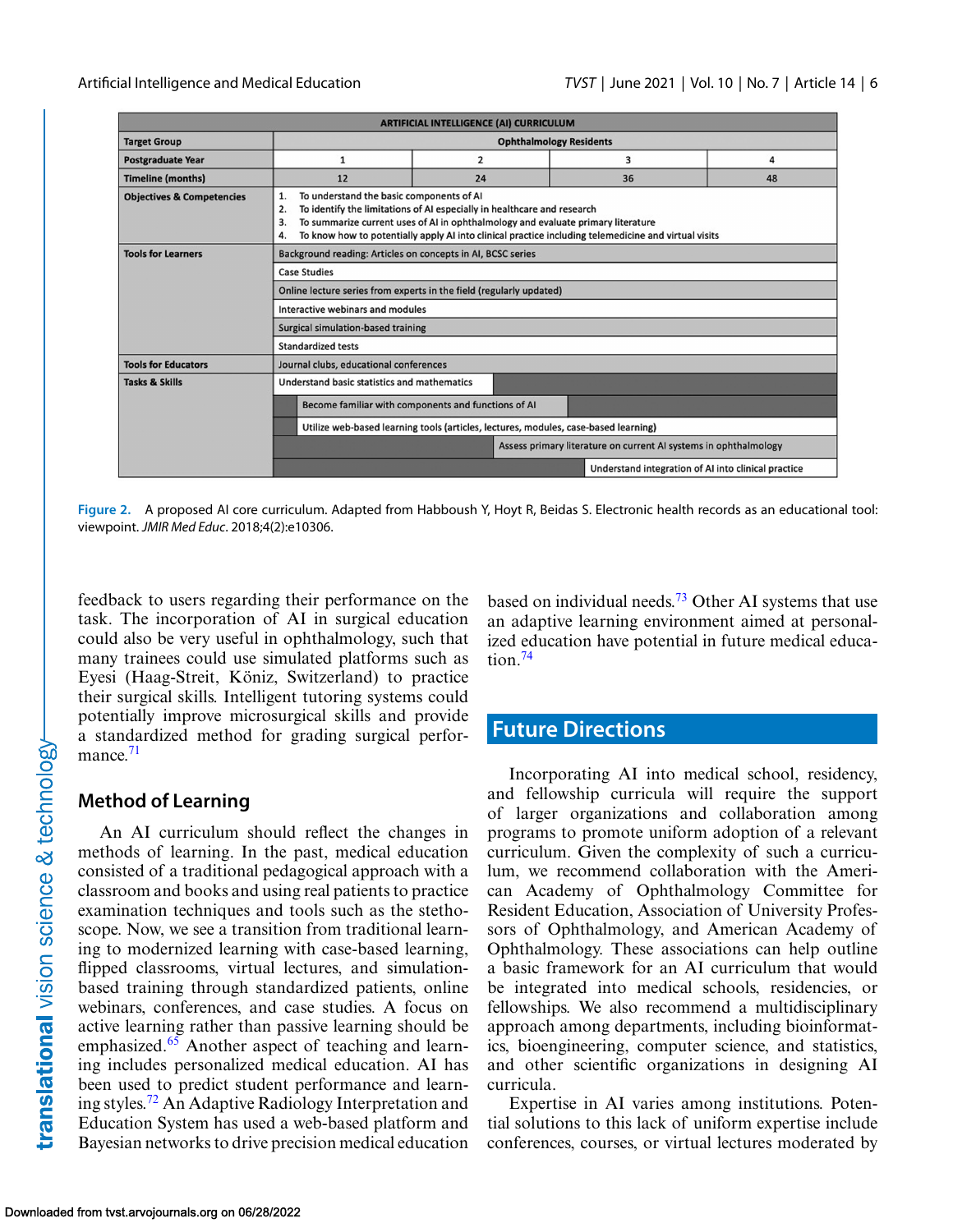| <b>ARTIFICIAL INTELLIGENCE (AI) CURRICULUM</b> |                                                                                                                                                                                                                                                                                                                                         |                |    |                                                     |
|------------------------------------------------|-----------------------------------------------------------------------------------------------------------------------------------------------------------------------------------------------------------------------------------------------------------------------------------------------------------------------------------------|----------------|----|-----------------------------------------------------|
| <b>Target Group</b>                            | <b>Ophthalmology Residents</b>                                                                                                                                                                                                                                                                                                          |                |    |                                                     |
| <b>Postgraduate Year</b>                       | $\mathbf{1}$                                                                                                                                                                                                                                                                                                                            | $\overline{2}$ | 3  | 4                                                   |
| <b>Timeline (months)</b>                       | 12                                                                                                                                                                                                                                                                                                                                      | 24             | 36 | 48                                                  |
| <b>Objectives &amp; Competencies</b>           | To understand the basic components of AI<br>1.<br>To identify the limitations of AI especially in healthcare and research<br>2.<br>To summarize current uses of AI in ophthalmology and evaluate primary literature<br>З.<br>To know how to potentially apply AI into clinical practice including telemedicine and virtual visits<br>4. |                |    |                                                     |
| <b>Tools for Learners</b>                      | Background reading: Articles on concepts in AI, BCSC series                                                                                                                                                                                                                                                                             |                |    |                                                     |
|                                                | <b>Case Studies</b>                                                                                                                                                                                                                                                                                                                     |                |    |                                                     |
|                                                | Online lecture series from experts in the field (regularly updated)                                                                                                                                                                                                                                                                     |                |    |                                                     |
|                                                | Interactive webinars and modules                                                                                                                                                                                                                                                                                                        |                |    |                                                     |
|                                                | <b>Surgical simulation-based training</b>                                                                                                                                                                                                                                                                                               |                |    |                                                     |
|                                                | <b>Standardized tests</b>                                                                                                                                                                                                                                                                                                               |                |    |                                                     |
| <b>Tools for Educators</b>                     | Journal clubs, educational conferences                                                                                                                                                                                                                                                                                                  |                |    |                                                     |
| <b>Tasks &amp; Skills</b>                      | Understand basic statistics and mathematics                                                                                                                                                                                                                                                                                             |                |    |                                                     |
|                                                | Become familiar with components and functions of AI                                                                                                                                                                                                                                                                                     |                |    |                                                     |
|                                                | Utilize web-based learning tools (articles, lectures, modules, case-based learning)                                                                                                                                                                                                                                                     |                |    |                                                     |
|                                                | Assess primary literature on current AI systems in ophthalmology                                                                                                                                                                                                                                                                        |                |    |                                                     |
|                                                |                                                                                                                                                                                                                                                                                                                                         |                |    | Understand integration of AI into clinical practice |

**Figure 2.** A proposed AI core curriculum. Adapted from Habboush Y, Hoyt R, Beidas S. Electronic health records as an educational tool: viewpoint. *JMIR Med Educ*. 2018;4(2):e10306.

feedback to users regarding their performance on the task. The incorporation of AI in surgical education could also be very useful in ophthalmology, such that many trainees could use simulated platforms such as Eyesi (Haag-Streit, Köniz, Switzerland) to practice their surgical skills. Intelligent tutoring systems could potentially improve microsurgical skills and provide a standardized method for grading surgical performance. $71$ 

### **Method of Learning**

An AI curriculum should reflect the changes in methods of learning. In the past, medical education consisted of a traditional pedagogical approach with a classroom and books and using real patients to practice examination techniques and tools such as the stethoscope. Now, we see a transition from traditional learning to modernized learning with case-based learning, flipped classrooms, virtual lectures, and simulationbased training through standardized patients, online webinars, conferences, and case studies. A focus on active learning rather than passive learning should be emphasized.<sup>[65](#page-9-0)</sup> Another aspect of teaching and learning includes personalized medical education. AI has been used to predict student performance and learning styles[.72](#page-10-0) An Adaptive Radiology Interpretation and Education System has used a web-based platform and Bayesian networks to drive precision medical education based on individual needs.<sup>[73](#page-10-0)</sup> Other AI systems that use an adaptive learning environment aimed at personalized education have potential in future medical education[.74](#page-10-0)

## **Future Directions**

Incorporating AI into medical school, residency, and fellowship curricula will require the support of larger organizations and collaboration among programs to promote uniform adoption of a relevant curriculum. Given the complexity of such a curriculum, we recommend collaboration with the American Academy of Ophthalmology Committee for Resident Education, Association of University Professors of Ophthalmology, and American Academy of Ophthalmology. These associations can help outline a basic framework for an AI curriculum that would be integrated into medical schools, residencies, or fellowships. We also recommend a multidisciplinary approach among departments, including bioinformatics, bioengineering, computer science, and statistics, and other scientific organizations in designing AI curricula.

Expertise in AI varies among institutions. Potential solutions to this lack of uniform expertise include conferences, courses, or virtual lectures moderated by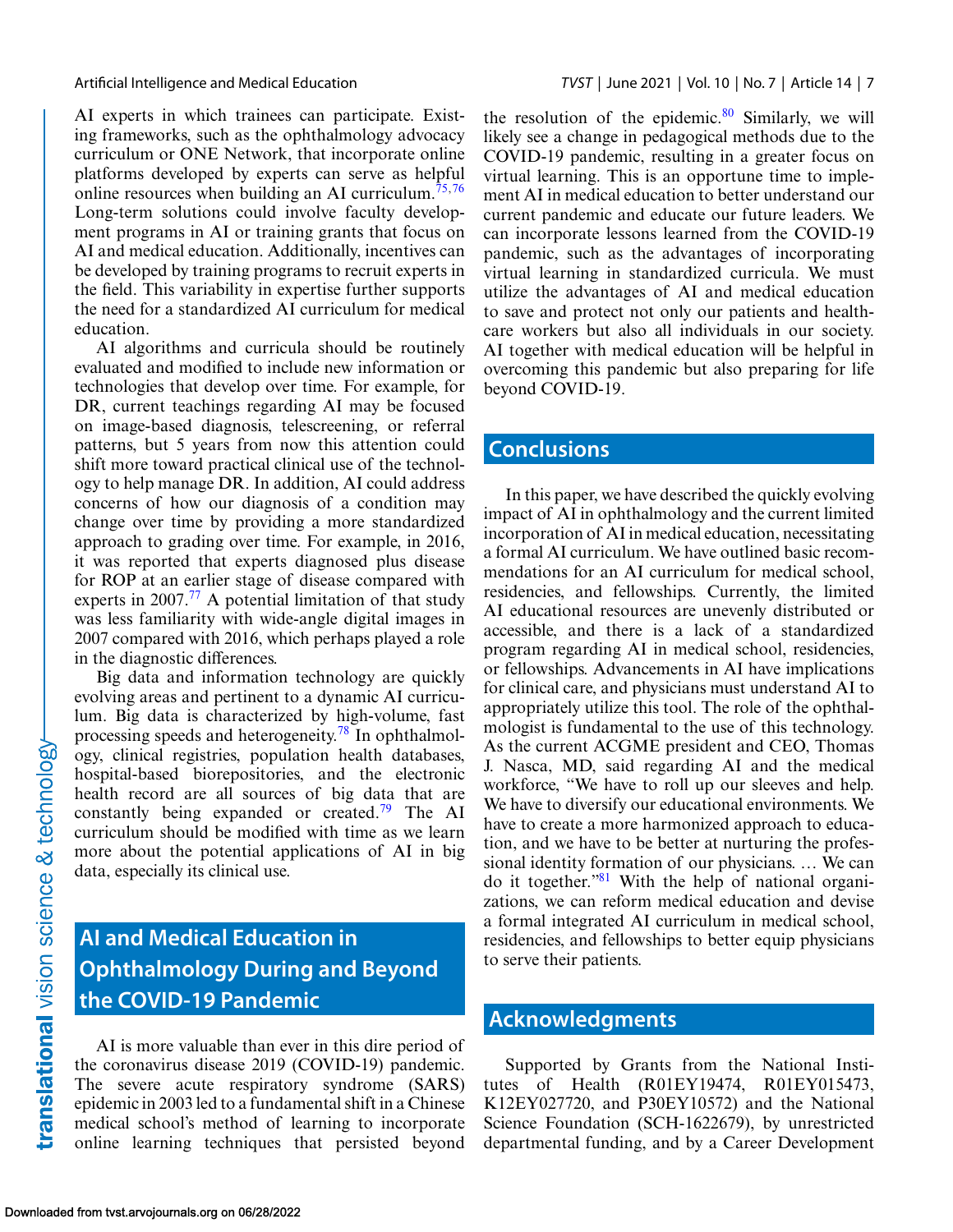AI experts in which trainees can participate. Existing frameworks, such as the ophthalmology advocacy curriculum or ONE Network, that incorporate online platforms developed by experts can serve as helpful online resources when building an AI curriculum.<sup>[75,76](#page-10-0)</sup> Long-term solutions could involve faculty development programs in AI or training grants that focus on AI and medical education. Additionally, incentives can be developed by training programs to recruit experts in the field. This variability in expertise further supports the need for a standardized AI curriculum for medical education.

AI algorithms and curricula should be routinely evaluated and modified to include new information or technologies that develop over time. For example, for DR, current teachings regarding AI may be focused on image-based diagnosis, telescreening, or referral patterns, but 5 years from now this attention could shift more toward practical clinical use of the technology to help manage DR. In addition, AI could address concerns of how our diagnosis of a condition may change over time by providing a more standardized approach to grading over time. For example, in 2016, it was reported that experts diagnosed plus disease for ROP at an earlier stage of disease compared with experts in 2007.<sup>77</sup> A potential limitation of that study was less familiarity with wide-angle digital images in 2007 compared with 2016, which perhaps played a role in the diagnostic differences.

Big data and information technology are quickly evolving areas and pertinent to a dynamic AI curriculum. Big data is characterized by high-volume, fast processing speeds and heterogeneity[.78](#page-10-0) In ophthalmology, clinical registries, population health databases, hospital-based biorepositories, and the electronic health record are all sources of big data that are constantly being expanded or created.<sup>79</sup> The AI curriculum should be modified with time as we learn more about the potential applications of AI in big data, especially its clinical use.

## **AI and Medical Education in Ophthalmology During and Beyond the COVID-19 Pandemic**

AI is more valuable than ever in this dire period of the coronavirus disease 2019 (COVID-19) pandemic. The severe acute respiratory syndrome (SARS) epidemic in 2003 led to a fundamental shift in a Chinese medical school's method of learning to incorporate online learning techniques that persisted beyond

the resolution of the epidemic. $80$  Similarly, we will likely see a change in pedagogical methods due to the COVID-19 pandemic, resulting in a greater focus on virtual learning. This is an opportune time to implement AI in medical education to better understand our current pandemic and educate our future leaders. We can incorporate lessons learned from the COVID-19 pandemic, such as the advantages of incorporating virtual learning in standardized curricula. We must utilize the advantages of AI and medical education to save and protect not only our patients and healthcare workers but also all individuals in our society. AI together with medical education will be helpful in overcoming this pandemic but also preparing for life beyond COVID-19.

### **Conclusions**

In this paper, we have described the quickly evolving impact of AI in ophthalmology and the current limited incorporation of AI in medical education, necessitating a formal AI curriculum. We have outlined basic recommendations for an AI curriculum for medical school, residencies, and fellowships. Currently, the limited AI educational resources are unevenly distributed or accessible, and there is a lack of a standardized program regarding AI in medical school, residencies, or fellowships. Advancements in AI have implications for clinical care, and physicians must understand AI to appropriately utilize this tool. The role of the ophthalmologist is fundamental to the use of this technology. As the current ACGME president and CEO, Thomas J. Nasca, MD, said regarding AI and the medical workforce, "We have to roll up our sleeves and help. We have to diversify our educational environments. We have to create a more harmonized approach to education, and we have to be better at nurturing the professional identity formation of our physicians. … We can do it together.["81](#page-10-0) With the help of national organizations, we can reform medical education and devise a formal integrated AI curriculum in medical school, residencies, and fellowships to better equip physicians to serve their patients.

## **Acknowledgments**

Supported by Grants from the National Institutes of Health (R01EY19474, R01EY015473, K12EY027720, and P30EY10572) and the National Science Foundation (SCH-1622679), by unrestricted departmental funding, and by a Career Development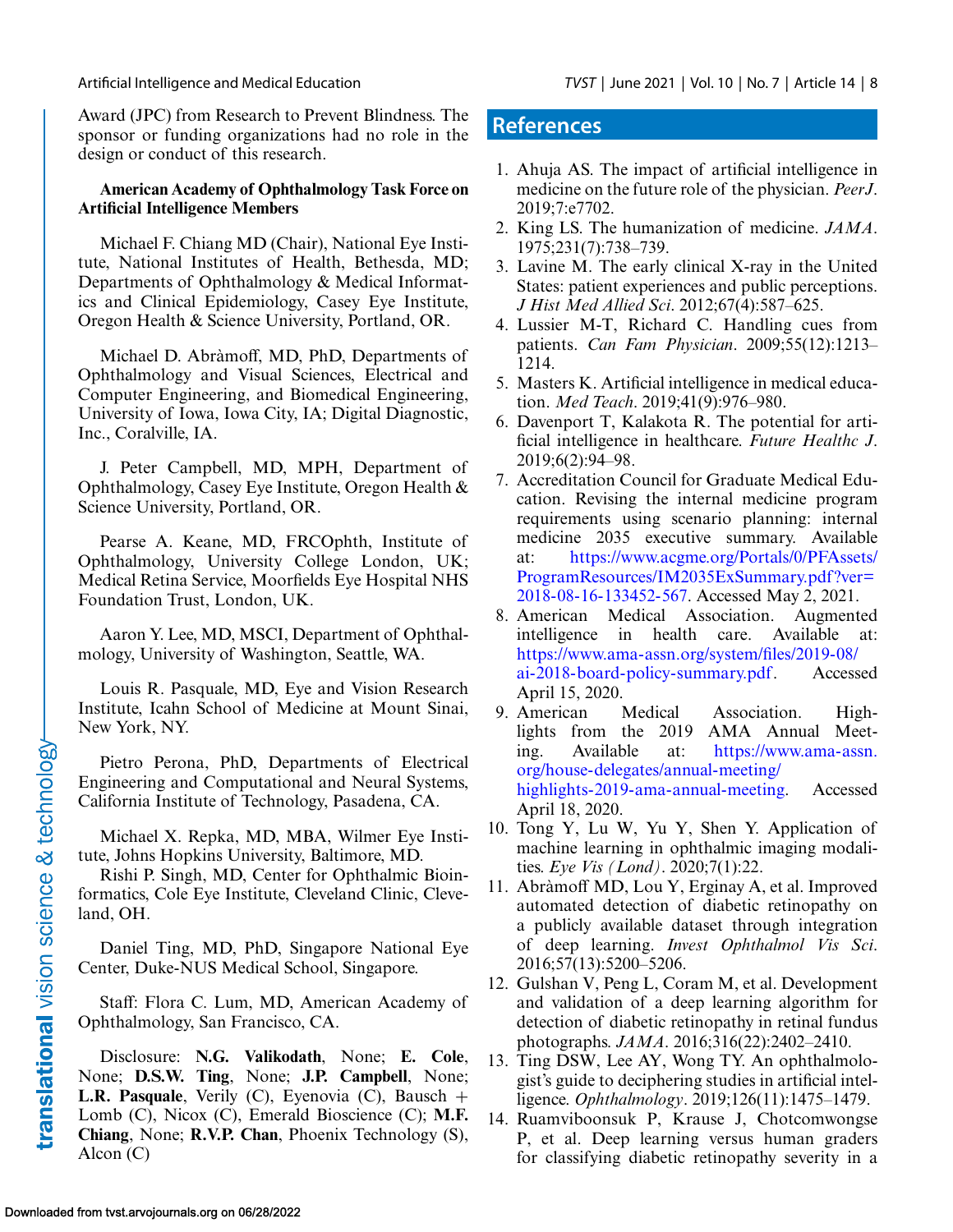<span id="page-7-0"></span>Award (JPC) from Research to Prevent Blindness. The sponsor or funding organizations had no role in the design or conduct of this research.

### **American Academy of Ophthalmology Task Force on Artificial Intelligence Members**

Michael F. Chiang MD (Chair), National Eye Institute, National Institutes of Health, Bethesda, MD; Departments of Ophthalmology & Medical Informatics and Clinical Epidemiology, Casey Eye Institute, Oregon Health & Science University, Portland, OR.

Michael D. Abràmoff, MD, PhD, Departments of Ophthalmology and Visual Sciences, Electrical and Computer Engineering, and Biomedical Engineering, University of Iowa, Iowa City, IA; Digital Diagnostic, Inc., Coralville, IA.

J. Peter Campbell, MD, MPH, Department of Ophthalmology, Casey Eye Institute, Oregon Health & Science University, Portland, OR.

Pearse A. Keane, MD, FRCOphth, Institute of Ophthalmology, University College London, UK; Medical Retina Service, Moorfields Eye Hospital NHS Foundation Trust, London, UK.

Aaron Y. Lee, MD, MSCI, Department of Ophthalmology, University of Washington, Seattle, WA.

Louis R. Pasquale, MD, Eye and Vision Research Institute, Icahn School of Medicine at Mount Sinai, New York, NY.

Pietro Perona, PhD, Departments of Electrical Engineering and Computational and Neural Systems, California Institute of Technology, Pasadena, CA.

Michael X. Repka, MD, MBA, Wilmer Eye Institute, Johns Hopkins University, Baltimore, MD.

Rishi P. Singh, MD, Center for Ophthalmic Bioinformatics, Cole Eye Institute, Cleveland Clinic, Cleveland, OH.

Daniel Ting, MD, PhD, Singapore National Eye Center, Duke-NUS Medical School, Singapore.

Staff: Flora C. Lum, MD, American Academy of Ophthalmology, San Francisco, CA.

Disclosure: **N.G. Valikodath**, None; **E. Cole**, None; **D.S.W. Ting**, None; **J.P. Campbell**, None; **L.R. Pasquale**, Verily (C), Eyenovia (C), Bausch + Lomb (C), Nicox (C), Emerald Bioscience (C); **M.F. Chiang**, None; **R.V.P. Chan**, Phoenix Technology (S), Alcon (C)

### **References**

- 1. Ahuja AS. The impact of artificial intelligence in medicine on the future role of the physician. *PeerJ*. 2019;7:e7702.
- 2. King LS. The humanization of medicine. *JAMA*. 1975;231(7):738–739.
- 3. Lavine M. The early clinical X-ray in the United States: patient experiences and public perceptions. *J Hist Med Allied Sci*. 2012;67(4):587–625.
- 4. Lussier M-T, Richard C. Handling cues from patients. *Can Fam Physician*. 2009;55(12):1213– 1214.
- 5. Masters K. Artificial intelligence in medical education. *Med Teach*. 2019;41(9):976–980.
- 6. Davenport T, Kalakota R. The potential for artificial intelligence in healthcare. *Future Healthc J*. 2019;6(2):94–98.
- 7. Accreditation Council for Graduate Medical Education. Revising the internal medicine program requirements using scenario planning: internal medicine 2035 executive summary. Available at: https://www.acgme.org/Portals/0/PFAssets/ [ProgramResources/IM2035ExSummary.pdf ?ver=](https://www.acgme.org/Portals/0/PFAssets/ProgramResources/IM2035ExSummary.pdf?ver102018-08-16-133452-567) 2018-08-16-133452-567. Accessed May 2, 2021.
- 8. American Medical Association. Augmented intelligence in health care. Available at: [https://www.ama-assn.org/system/files/2019-08/](https://www.ama-assn.org/system/files/2019-08/ai-2018-board-policy-summary.pdf) ai-2018-board-policy-summary.pdf. Accessed April 15, 2020.
- 9. American Medical Association. Highlights from the 2019 AMA Annual Meeting. Available at: https://www.ama-assn. org/house-delegates/annual-meeting/ [highlights-2019-ama-annual-meeting. Accessed](https://www.ama-assn.org/house-delegates/annual-meeting/highlights-2019-ama-annual-meeting) April 18, 2020.
- 10. Tong Y, Lu W, Yu Y, Shen Y. Application of machine learning in ophthalmic imaging modalities. *Eye Vis (Lond)*. 2020;7(1):22.
- 11. Abràmoff MD, Lou Y, Erginay A, et al. Improved automated detection of diabetic retinopathy on a publicly available dataset through integration of deep learning. *Invest Ophthalmol Vis Sci*. 2016;57(13):5200–5206.
- 12. Gulshan V, Peng L, Coram M, et al. Development and validation of a deep learning algorithm for detection of diabetic retinopathy in retinal fundus photographs. *JAMA*. 2016;316(22):2402–2410.
- 13. Ting DSW, Lee AY, Wong TY. An ophthalmologist's guide to deciphering studies in artificial intelligence. *Ophthalmology*. 2019;126(11):1475–1479.
- 14. Ruamviboonsuk P, Krause J, Chotcomwongse P, et al. Deep learning versus human graders for classifying diabetic retinopathy severity in a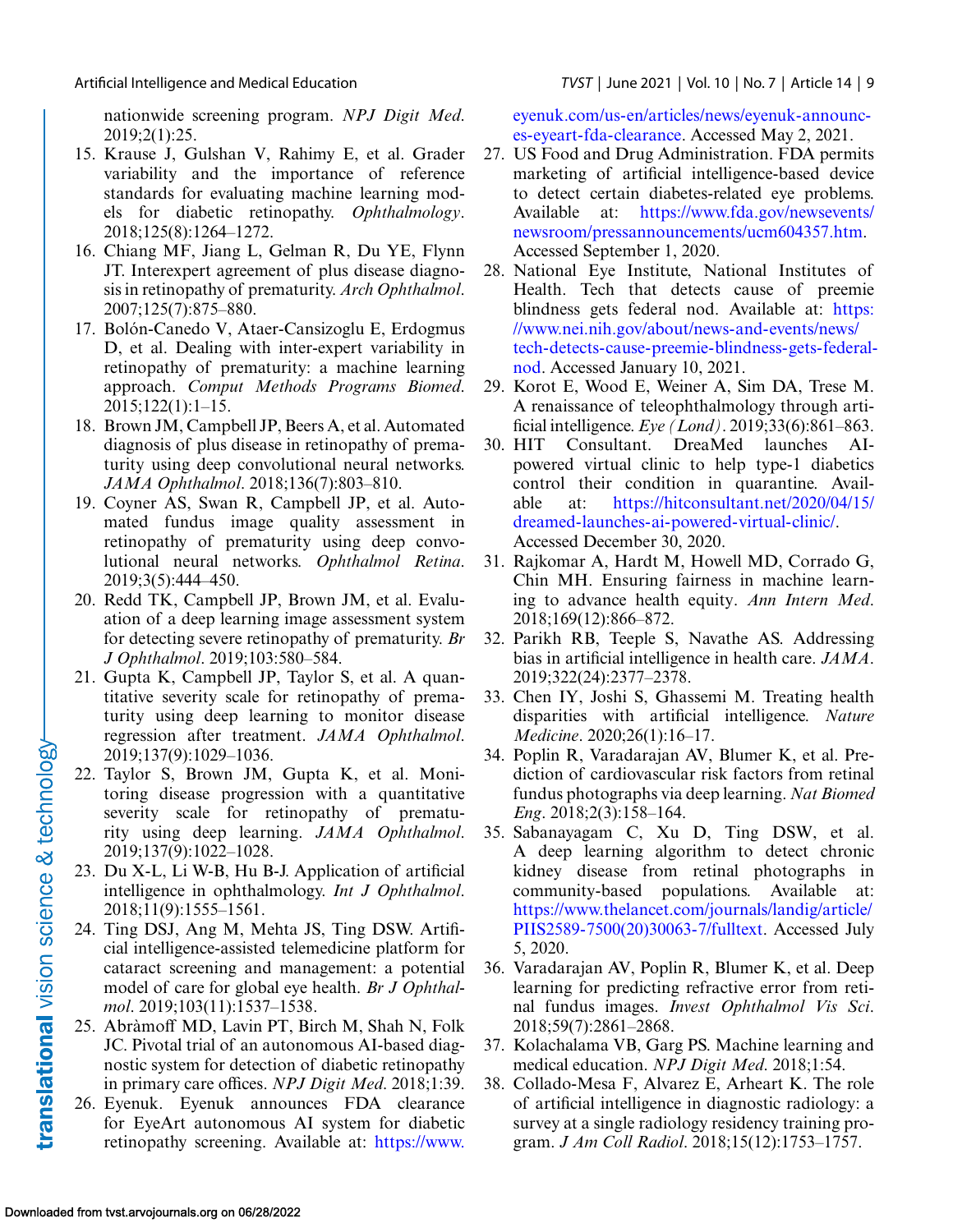<span id="page-8-0"></span>nationwide screening program. *NPJ Digit Med*. 2019;2(1):25.

- 15. Krause J, Gulshan V, Rahimy E, et al. Grader variability and the importance of reference standards for evaluating machine learning models for diabetic retinopathy. *Ophthalmology*. 2018;125(8):1264–1272.
- 16. Chiang MF, Jiang L, Gelman R, Du YE, Flynn JT. Interexpert agreement of plus disease diagnosis in retinopathy of prematurity. *Arch Ophthalmol*. 2007;125(7):875–880.
- 17. Bolón-Canedo V, Ataer-Cansizoglu E, Erdogmus D, et al. Dealing with inter-expert variability in retinopathy of prematurity: a machine learning approach. *Comput Methods Programs Biomed*. 2015;122(1):1–15.
- 18. Brown JM, Campbell JP, Beers A, et al. Automated diagnosis of plus disease in retinopathy of prematurity using deep convolutional neural networks. *JAMA Ophthalmol*. 2018;136(7):803–810.
- 19. Coyner AS, Swan R, Campbell JP, et al. Automated fundus image quality assessment in retinopathy of prematurity using deep convolutional neural networks. *Ophthalmol Retina*. 2019;3(5):444–450.
- 20. Redd TK, Campbell JP, Brown JM, et al. Evaluation of a deep learning image assessment system for detecting severe retinopathy of prematurity. *Br J Ophthalmol*. 2019;103:580–584.
- 21. Gupta K, Campbell JP, Taylor S, et al. A quantitative severity scale for retinopathy of prematurity using deep learning to monitor disease regression after treatment. *JAMA Ophthalmol*. 2019;137(9):1029–1036.
- 22. Taylor S, Brown JM, Gupta K, et al. Monitoring disease progression with a quantitative severity scale for retinopathy of prematurity using deep learning. *JAMA Ophthalmol*. 2019;137(9):1022–1028.
- 23. Du X-L, Li W-B, Hu B-J. Application of artificial intelligence in ophthalmology. *Int J Ophthalmol*. 2018;11(9):1555–1561.
- 24. Ting DSJ, Ang M, Mehta JS, Ting DSW. Artificial intelligence-assisted telemedicine platform for cataract screening and management: a potential model of care for global eye health. *Br J Ophthalmol*. 2019;103(11):1537–1538.
- 25. Abràmoff MD, Lavin PT, Birch M, Shah N, Folk JC. Pivotal trial of an autonomous AI-based diagnostic system for detection of diabetic retinopathy in primary care offices. *NPJ Digit Med*. 2018;1:39.
- 26. Eyenuk. Eyenuk announces FDA clearance for EyeArt autonomous AI system for diabetic retinopathy screening. Available at: https://www.

[eyenuk.com/us-en/articles/news/eyenuk-announc](https://www.eyenuk.com/us-en/articles/news/eyenuk-announces-eyeart-fda-clearance)es-eyeart-fda-clearance. Accessed May 2, 2021.

- 27. US Food and Drug Administration. FDA permits marketing of artificial intelligence-based device to detect certain diabetes-related eye problems. Available at: https://www.fda.gov/newsevents/ [newsroom/pressannouncements/ucm604357.htm.](https://www.fda.gov/newsevents/newsroom/pressannouncements/ucm604357.htm) Accessed September 1, 2020.
- 28. National Eye Institute, National Institutes of Health. Tech that detects cause of preemie blindness gets federal nod. Available at: https: //www.nei.nih.gov/about/news-and-events/news/ [tech-detects-cause-preemie-blindness-gets-federal](https://www.nei.nih.gov/about/news-and-events/news/tech-detects-cause-preemie-blindness-gets-federal-nod)nod. Accessed January 10, 2021.
- 29. Korot E, Wood E, Weiner A, Sim DA, Trese M. A renaissance of teleophthalmology through artificial intelligence. *Eye (Lond)*. 2019;33(6):861–863.
- 30. HIT Consultant. DreaMed launches AIpowered virtual clinic to help type-1 diabetics control their condition in quarantine. Available at: https://hitconsultant.net/2020/04/15/ [dreamed-launches-ai-powered-virtual-clinic/.](https://hitconsultant.net/2020/04/15/dreamed-launches-ai-powered-virtual-clinic/) Accessed December 30, 2020.
- 31. Rajkomar A, Hardt M, Howell MD, Corrado G, Chin MH. Ensuring fairness in machine learning to advance health equity. *Ann Intern Med*. 2018;169(12):866–872.
- 32. Parikh RB, Teeple S, Navathe AS. Addressing bias in artificial intelligence in health care. *JAMA*. 2019;322(24):2377–2378.
- 33. Chen IY, Joshi S, Ghassemi M. Treating health disparities with artificial intelligence. *Nature Medicine*. 2020;26(1):16–17.
- 34. Poplin R, Varadarajan AV, Blumer K, et al. Prediction of cardiovascular risk factors from retinal fundus photographs via deep learning. *Nat Biomed Eng*. 2018;2(3):158–164.
- 35. Sabanayagam C, Xu D, Ting DSW, et al. A deep learning algorithm to detect chronic kidney disease from retinal photographs in community-based populations. Available at: https://www.thelancet.com/journals/landig/article/ [PIIS2589-7500\(20\)30063-7/fulltext. Accessed July](https://www.thelancet.com/journals/landig/article/PIIS2589-7500(20)30063-7/fulltext) 5, 2020.
- 36. Varadarajan AV, Poplin R, Blumer K, et al. Deep learning for predicting refractive error from retinal fundus images. *Invest Ophthalmol Vis Sci*. 2018;59(7):2861–2868.
- 37. Kolachalama VB, Garg PS. Machine learning and medical education. *NPJ Digit Med*. 2018;1:54.
- 38. Collado-Mesa F, Alvarez E, Arheart K. The role of artificial intelligence in diagnostic radiology: a survey at a single radiology residency training program. *J Am Coll Radiol*. 2018;15(12):1753–1757.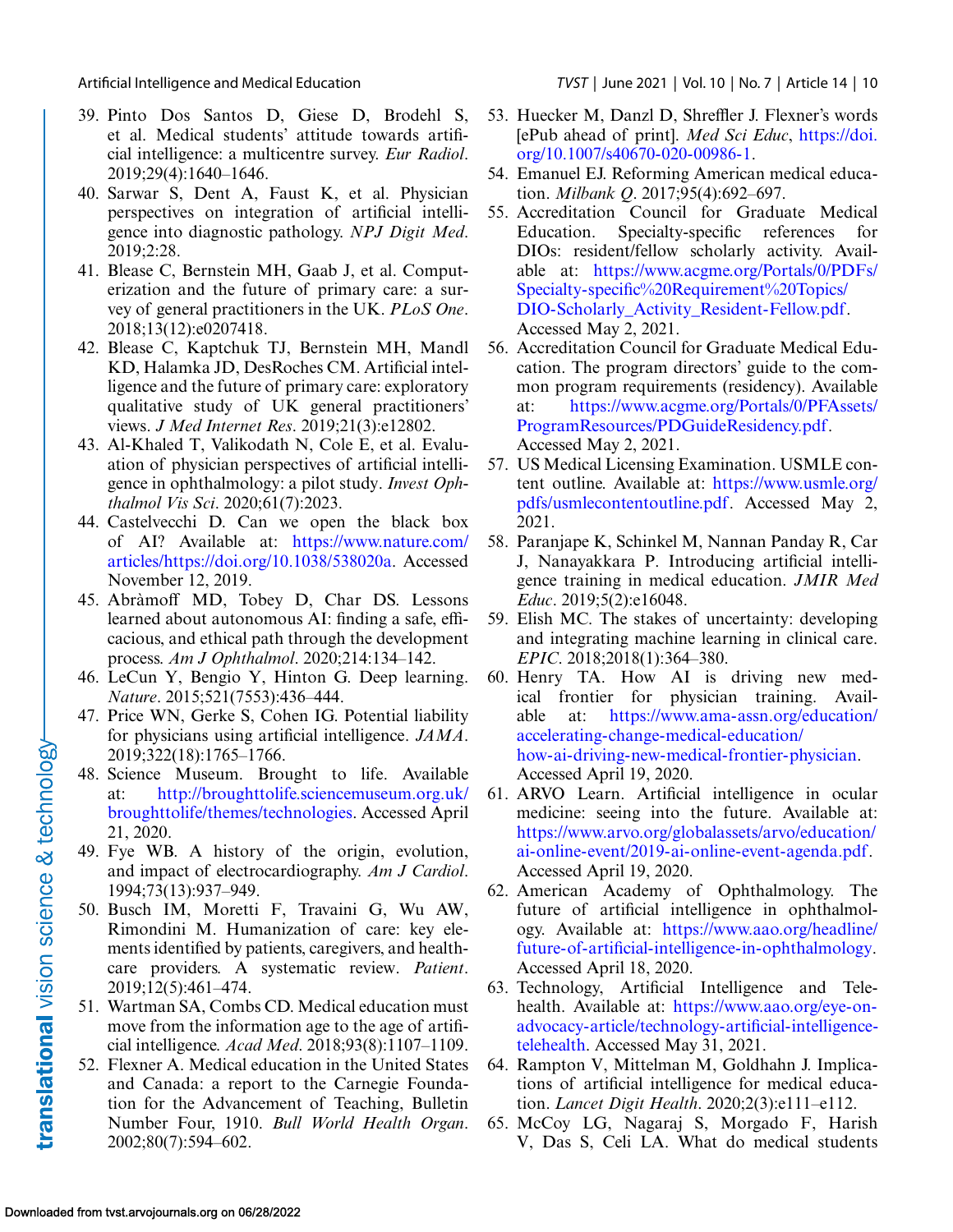- <span id="page-9-0"></span>39. Pinto Dos Santos D, Giese D, Brodehl S, et al. Medical students' attitude towards artificial intelligence: a multicentre survey. *Eur Radiol*. 2019;29(4):1640–1646.
- 40. Sarwar S, Dent A, Faust K, et al. Physician perspectives on integration of artificial intelligence into diagnostic pathology. *NPJ Digit Med*. 2019;2:28.
- 41. Blease C, Bernstein MH, Gaab J, et al. Computerization and the future of primary care: a survey of general practitioners in the UK. *PLoS One*. 2018;13(12):e0207418.
- 42. Blease C, Kaptchuk TJ, Bernstein MH, Mandl KD, Halamka JD, DesRoches CM. Artificial intelligence and the future of primary care: exploratory qualitative study of UK general practitioners' views. *J Med Internet Res*. 2019;21(3):e12802.
- 43. Al-Khaled T, Valikodath N, Cole E, et al. Evaluation of physician perspectives of artificial intelligence in ophthalmology: a pilot study. *Invest Ophthalmol Vis Sci*. 2020;61(7):2023.
- 44. Castelvecchi D. Can we open the black box of AI? Available at: https://www.nature.com/ [articles/https://doi.org/10.1038/538020a. Accessed](https://www.nature.com/articles/https://doi.org/10.1038/538020a) November 12, 2019.
- 45. Abràmoff MD, Tobey D, Char DS. Lessons learned about autonomous AI: finding a safe, efficacious, and ethical path through the development process. *Am J Ophthalmol*. 2020;214:134–142.
- 46. LeCun Y, Bengio Y, Hinton G. Deep learning. *Nature*. 2015;521(7553):436–444.
- 47. Price WN, Gerke S, Cohen IG. Potential liability for physicians using artificial intelligence. *JAMA*. 2019;322(18):1765–1766.
- 48. Science Museum. Brought to life. Available at: http://broughttolife.sciencemuseum.org.uk/ [broughttolife/themes/technologies. Accessed April](http://broughttolife.sciencemuseum.org.uk/broughttolife/themes/technologies) 21, 2020.
- 49. Fye WB. A history of the origin, evolution, and impact of electrocardiography. *Am J Cardiol*. 1994;73(13):937–949.
- 50. Busch IM, Moretti F, Travaini G, Wu AW, Rimondini M. Humanization of care: key elements identified by patients, caregivers, and healthcare providers. A systematic review. *Patient*. 2019;12(5):461–474.
- 51. Wartman SA, Combs CD. Medical education must move from the information age to the age of artificial intelligence. *Acad Med*. 2018;93(8):1107–1109.
- 52. Flexner A. Medical education in the United States and Canada: a report to the Carnegie Foundation for the Advancement of Teaching, Bulletin Number Four, 1910. *Bull World Health Organ*. 2002;80(7):594–602.
- 53. Huecker M, Danzl D, Shreffler J. Flexner's words [ePub ahead of print]. *Med Sci Educ*, https://doi. [org/10.1007/s40670-020-00986-1.](https://doi.org/10.1007/s40670-020-00986-1)
- 54. Emanuel EJ. Reforming American medical education. *Milbank Q*. 2017;95(4):692–697.
- 55. Accreditation Council for Graduate Medical Education. Specialty-specific references for DIOs: resident/fellow scholarly activity. Available at: https://www.acgme.org/Portals/0/PDFs/ Specialty-specific%20Requirement%20Topics/ DIO-Scholarly Activity Resident-Fellow.pdf. Accessed May 2, 2021.
- 56. Accreditation Council for Graduate Medical Education. The program directors' guide to the common program requirements (residency). Available at: https://www.acgme.org/Portals/0/PFAssets/ [ProgramResources/PDGuideResidency.pdf.](https://www.acgme.org/Portals/0/PFAssets/ProgramResources/PDGuideResidency.pdf) Accessed May 2, 2021.
- 57. US Medical Licensing Examination. USMLE content outline. Available at: https://www.usmle.org/ [pdfs/usmlecontentoutline.pdf. Accessed May 2,](https://www.usmle.org/pdfs/usmlecontentoutline.pdf) 2021.
- 58. Paranjape K, Schinkel M, Nannan Panday R, Car J, Nanayakkara P. Introducing artificial intelligence training in medical education. *JMIR Med Educ*. 2019;5(2):e16048.
- 59. Elish MC. The stakes of uncertainty: developing and integrating machine learning in clinical care. *EPIC*. 2018;2018(1):364–380.
- 60. Henry TA. How AI is driving new medical frontier for physician training. Available at: https://www.ama-assn.org/education/ accelerating-change-medical-education/ [how-ai-driving-new-medical-frontier-physician.](https://www.ama-assn.org/education/accelerating-change-medical-education/how-ai-driving-new-medical-frontier-physician) Accessed April 19, 2020.
- 61. ARVO Learn. Artificial intelligence in ocular medicine: seeing into the future. Available at: [https://www.arvo.org/globalassets/arvo/education/](https://www.arvo.org/globalassets/arvo/education/ai-online-event/2019-ai-online-event-agenda.pdf) ai-online-event/2019-ai-online-event-agenda.pdf. Accessed April 19, 2020.
- 62. American Academy of Ophthalmology. The future of artificial intelligence in ophthalmology. Available at: https://www.aao.org/headline/ [future-of-artificial-intelligence-in-ophthalmology.](https://www.aao.org/headline/future-of-artificial-intelligence-in-ophthalmology) Accessed April 18, 2020.
- 63. Technology, Artificial Intelligence and Telehealth. Available at: https://www.aao.org/eye-on[advocacy-article/technology-artificial-intelligence](https://www.aao.org/eye-on-advocacy-article/technology-artificial-intelligence-telehealth)telehealth. Accessed May 31, 2021.
- 64. Rampton V, Mittelman M, Goldhahn J. Implications of artificial intelligence for medical education. *Lancet Digit Health*. 2020;2(3):e111–e112.
- 65. McCoy LG, Nagaraj S, Morgado F, Harish V, Das S, Celi LA. What do medical students